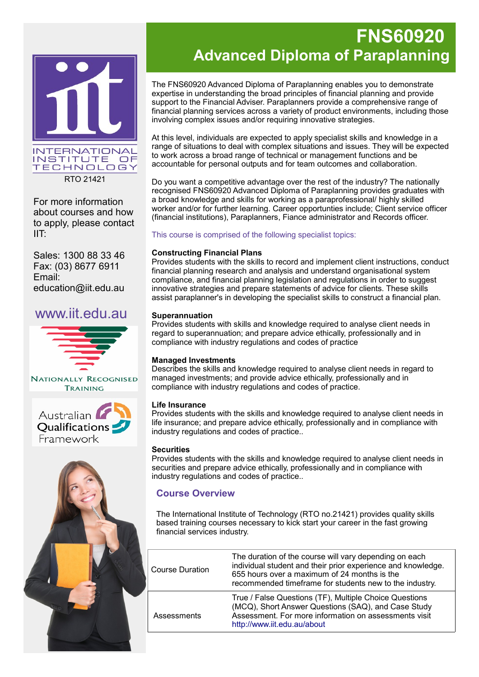

RTO 21421

For more information about courses and how to apply, please contact IIT:

Sales: 1300 88 33 46 Fax: (03) 8677 6911 Email: education@iit.edu.au

## www.iit.edu.au







# **FNS60920 Advanced Diploma of Paraplanning**

The FNS60920 Advanced Diploma of Paraplanning enables you to demonstrate expertise in understanding the broad principles of financial planning and provide support to the Financial Adviser. Paraplanners provide a comprehensive range of financial planning services across a variety of product environments, including those involving complex issues and/or requiring innovative strategies.

At this level, individuals are expected to apply specialist skills and knowledge in a range of situations to deal with complex situations and issues. They will be expected to work across a broad range of technical or management functions and be accountable for personal outputs and for team outcomes and collaboration.

Do you want a competitive advantage over the rest of the industry? The nationally recognised FNS60920 Advanced Diploma of Paraplanning provides graduates with a broad knowledge and skills for working as a paraprofessional/ highly skilled worker and/or for further learning. Career opportunties include; Client service officer (financial institutions), Paraplanners, Fiance administrator and Records officer.

This course is comprised of the following specialist topics:

#### **Constructing Financial Plans**

Provides students with the skills to record and implement client instructions, conduct financial planning research and analysis and understand organisational system compliance, and financial planning legislation and regulations in order to suggest innovative strategies and prepare statements of advice for clients. These skills assist paraplanner's in developing the specialist skills to construct a financial plan.

#### **Superannuation**

Provides students with skills and knowledge required to analyse client needs in regard to superannuation; and prepare advice ethically, professionally and in compliance with industry regulations and codes of practice

#### **Managed Investments**

Describes the skills and knowledge required to analyse client needs in regard to managed investments; and provide advice ethically, professionally and in compliance with industry regulations and codes of practice.

#### **Life Insurance**

Provides students with the skills and knowledge required to analyse client needs in life insurance; and prepare advice ethically, professionally and in compliance with industry regulations and codes of practice..

#### **Securities**

Provides students with the skills and knowledge required to analyse client needs in securities and prepare advice ethically, professionally and in compliance with industry regulations and codes of practice..

### **Course Overview**

The International Institute of Technology (RTO no.21421) provides quality skills based training courses necessary to kick start your career in the fast growing financial services industry.

| <b>Course Duration</b> | The duration of the course will vary depending on each<br>individual student and their prior experience and knowledge.<br>655 hours over a maximum of 24 months is the<br>recommended timeframe for students new to the industry. |
|------------------------|-----------------------------------------------------------------------------------------------------------------------------------------------------------------------------------------------------------------------------------|
| Assessments            | True / False Questions (TF), Multiple Choice Questions<br>(MCQ), Short Answer Questions (SAQ), and Case Study<br>Assessment. For more information on assessments visit<br>http://www.iit.edu.au/about                             |